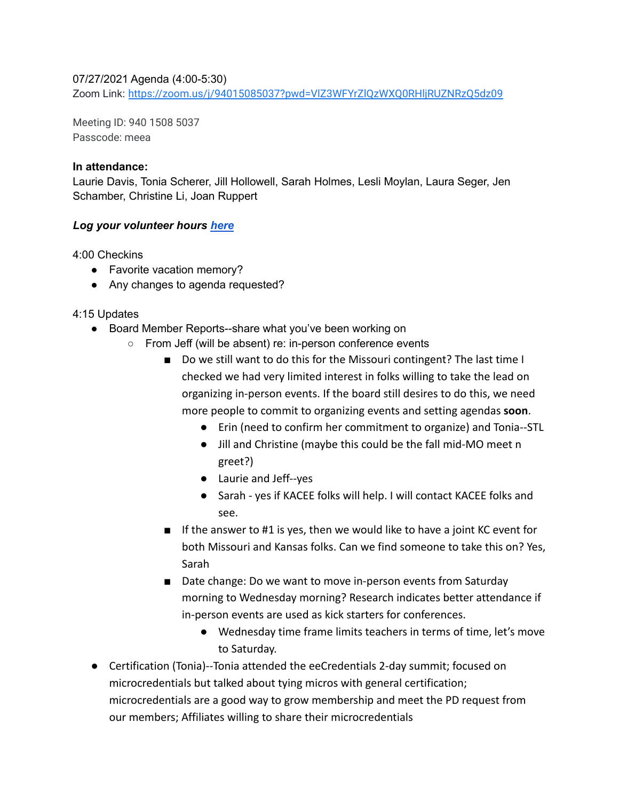## 07/27/2021 Agenda (4:00-5:30)

Zoom Link: <https://zoom.us/j/94015085037?pwd=VlZ3WFYrZlQzWXQ0RHljRUZNRzQ5dz09>

Meeting ID: 940 1508 5037 Passcode: meea

#### **In attendance:**

Laurie Davis, Tonia Scherer, Jill Hollowell, Sarah Holmes, Lesli Moylan, Laura Seger, Jen Schamber, Christine Li, Joan Ruppert

## *Log your volunteer hours [here](https://docs.google.com/forms/d/e/1FAIpQLSeyGs3BdG_sxFAGpjjXzRryj-8Os6pPqOvRnoMgrYpaisbrkw/viewform?usp=sf_link)*

4:00 Checkins

- Favorite vacation memory?
- Any changes to agenda requested?

## 4:15 Updates

- Board Member Reports--share what you've been working on
	- From Jeff (will be absent) re: in-person conference events
		- Do we still want to do this for the Missouri contingent? The last time I checked we had very limited interest in folks willing to take the lead on organizing in-person events. If the board still desires to do this, we need more people to commit to organizing events and setting agendas **soon**.
			- Erin (need to confirm her commitment to organize) and Tonia--STL
			- Jill and Christine (maybe this could be the fall mid-MO meet n greet?)
			- Laurie and Jeff--yes
			- Sarah yes if KACEE folks will help. I will contact KACEE folks and see.
		- If the answer to #1 is yes, then we would like to have a joint KC event for both Missouri and Kansas folks. Can we find someone to take this on? Yes, Sarah
		- Date change: Do we want to move in-person events from Saturday morning to Wednesday morning? Research indicates better attendance if in-person events are used as kick starters for conferences.
			- Wednesday time frame limits teachers in terms of time, let's move to Saturday.
- Certification (Tonia)--Tonia attended the eeCredentials 2-day summit; focused on microcredentials but talked about tying micros with general certification; microcredentials are a good way to grow membership and meet the PD request from our members; Affiliates willing to share their microcredentials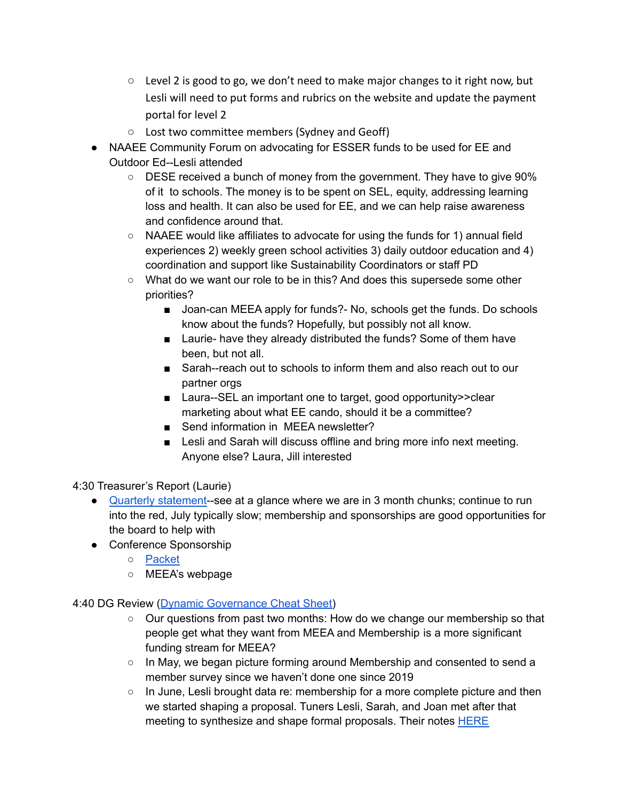- $\circ$  Level 2 is good to go, we don't need to make major changes to it right now, but Lesli will need to put forms and rubrics on the website and update the payment portal for level 2
- Lost two committee members (Sydney and Geoff)
- NAAEE Community Forum on advocating for ESSER funds to be used for EE and Outdoor Ed--Lesli attended
	- DESE received a bunch of money from the government. They have to give 90% of it to schools. The money is to be spent on SEL, equity, addressing learning loss and health. It can also be used for EE, and we can help raise awareness and confidence around that.
	- NAAEE would like affiliates to advocate for using the funds for 1) annual field experiences 2) weekly green school activities 3) daily outdoor education and 4) coordination and support like Sustainability Coordinators or staff PD
	- What do we want our role to be in this? And does this supersede some other priorities?
		- Joan-can MEEA apply for funds?- No, schools get the funds. Do schools know about the funds? Hopefully, but possibly not all know.
		- Laurie- have they already distributed the funds? Some of them have been, but not all.
		- Sarah--reach out to schools to inform them and also reach out to our partner orgs
		- Laura--SEL an important one to target, good opportunity>>clear marketing about what EE cando, should it be a committee?
		- Send information in MEEA newsletter?
		- Lesli and Sarah will discuss offline and bring more info next meeting. Anyone else? Laura, Jill interested

4:30 Treasurer's Report (Laurie)

- Quarterly [statement-](https://drive.google.com/file/d/1Lb2GfJHsqjbIjkjlFJiVNeNXAn73RpPG/view?usp=sharing)-see at a glance where we are in 3 month chunks; continue to run into the red, July typically slow; membership and sponsorships are good opportunities for the board to help with
- Conference Sponsorship
	- [Packet](https://drive.google.com/file/d/1uofleRf_M9kn1pE2ecqclbJ8Lr8n42RR/view?usp=sharing)
	- MEEA's webpage

4:40 DG Review (Dynamic [Governance](https://drive.google.com/file/d/16sS0kGlQ0eH5GW9n9eM6jjFxAGQujtpL/view?usp=sharing) Cheat Sheet)

- Our questions from past two months: How do we change our membership so that people get what they want from MEEA and Membership is a more significant funding stream for MEEA?
- In May, we began picture forming around Membership and consented to send a member survey since we haven't done one since 2019
- $\circ$  In June, Lesli brought data re: membership for a more complete picture and then we started shaping a proposal. Tuners Lesli, Sarah, and Joan met after that meeting to synthesize and shape formal proposals. Their notes **[HERE](https://docs.google.com/document/d/1s7pTSoKqNR_GNPl6uJHLEMQheSsJrY2Wu8gI8Zr77WQ/edit?usp=sharing)**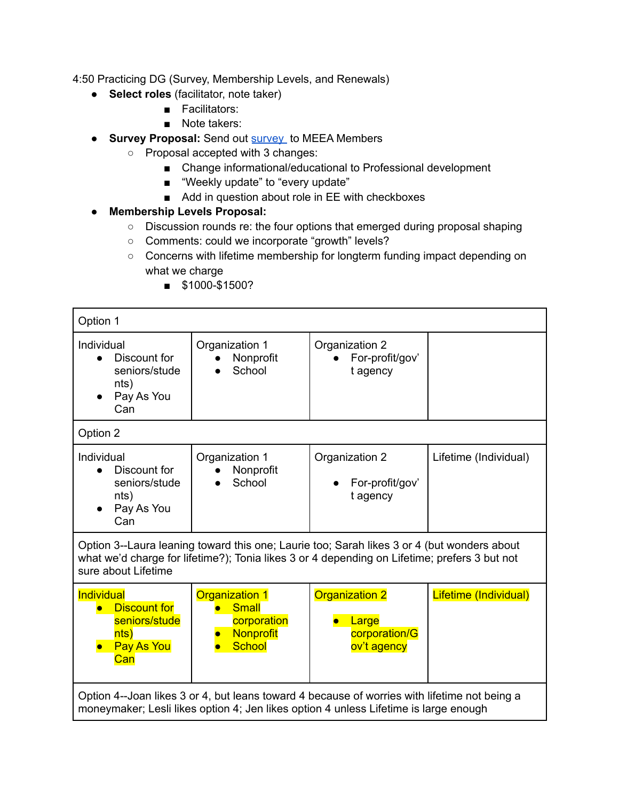4:50 Practicing DG (Survey, Membership Levels, and Renewals)

- **Select roles** (facilitator, note taker)
	- Facilitators:
	- Note takers:
- **● Survey Proposal:** Send out [survey](https://docs.google.com/forms/d/e/1FAIpQLScsXt3RW6i-3Pl_2gHvwdgl3fKnxD9GpCmolEZM2y3IhEjIOQ/viewform?usp=sf_link) to MEEA Members
	- Proposal accepted with 3 changes:
		- Change informational/educational to Professional development
		- "Weekly update" to "every update"
		- Add in question about role in EE with checkboxes
- **● Membership Levels Proposal:**
	- Discussion rounds re: the four options that emerged during proposal shaping
	- Comments: could we incorporate "growth" levels?
	- Concerns with lifetime membership for longterm funding impact depending on what we charge
		- \$1000-\$1500?

| Option 1                                                                                                                                                                                                          |                                                                                    |                                                                |                       |  |
|-------------------------------------------------------------------------------------------------------------------------------------------------------------------------------------------------------------------|------------------------------------------------------------------------------------|----------------------------------------------------------------|-----------------------|--|
| Individual<br>Discount for<br>seniors/stude<br>nts)<br>Pay As You<br>Can                                                                                                                                          | Organization 1<br>Nonprofit<br>School                                              | Organization 2<br>For-profit/gov'<br>t agency                  |                       |  |
| Option 2                                                                                                                                                                                                          |                                                                                    |                                                                |                       |  |
| Individual<br>Discount for<br>$\bullet$<br>seniors/stude<br>nts)<br>Pay As You<br>Can                                                                                                                             | Organization 1<br>Nonprofit<br>School                                              | Organization 2<br>For-profit/gov'<br>t agency                  | Lifetime (Individual) |  |
| Option 3--Laura leaning toward this one; Laurie too; Sarah likes 3 or 4 (but wonders about<br>what we'd charge for lifetime?); Tonia likes 3 or 4 depending on Lifetime; prefers 3 but not<br>sure about Lifetime |                                                                                    |                                                                |                       |  |
| Individual<br><b>Discount for</b><br>seniors/stude<br>nts)<br>Pay As You<br>Can                                                                                                                                   | <b>Organization 1</b><br><b>Small</b><br>corporation<br>Nonprofit<br><b>School</b> | <b>Organization 2</b><br>Large<br>corporation/G<br>ov't agency | Lifetime (Individual) |  |
| Option 4--Joan likes 3 or 4, but leans toward 4 because of worries with lifetime not being a<br>moneymaker; Lesli likes option 4; Jen likes option 4 unless Lifetime is large enough                              |                                                                                    |                                                                |                       |  |